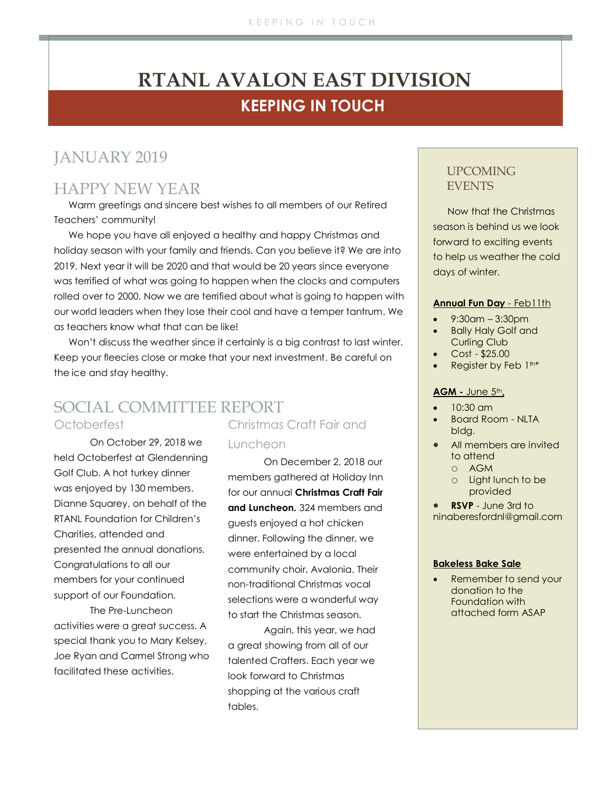# **KEEPING IN TOUCH RTANL AVALON EAST DIVISION**

## JANUARY 2019

## HAPPY NEW YEAR

Warm greetings and sincere best wishes to all members of our Retired Teachers' community!

We hope you have all enjoyed a healthy and happy Christmas and holiday season with your family and friends. Can you believe it? We are into 2019. Next year it will be 2020 and that would be 20 years since everyone was terrified of what was going to happen when the clocks and computers rolled over to 2000. Now we are terrified about what is going to happen with our world leaders when they lose their cool and have a temper tantrum. We as teachers know what that can be like!

Won't discuss the weather since it certainly is a big contrast to last winter. Keep your fleecies close or make that your next investment. Be careful on the ice and stay healthy.

# SOCIAL COMMITTEE REPORT

### Octoberfest

On October 29, 2018 we held Octoberfest at Glendenning Golf Club. A hot turkey dinner was enjoyed by 130 members. Dianne Squarey, on behalf of the RTANL Foundation for Children's Charities, attended and presented the annual donations. Congratulations to all our members for your continued support of our Foundation.

The Pre-Luncheon activities were a great success. A special thank you to Mary Kelsey, Joe Ryan and Carmel Strong who facilitated these activities.

# Christmas Craft Fair and

#### Luncheon

On December 2, 2018 our members gathered at Holiday Inn for our annual **Christmas Craft Fair and Luncheon.** 324 members and guests enjoyed a hot chicken dinner. Following the dinner, we were entertained by a local community choir, Avalonia. Their non-traditional Christmas vocal selections were a wonderful way to start the Christmas season.

Again, this year, we had a great showing from all of our talented Crafters. Each year we look forward to Christmas shopping at the various craft tables.

### UPCOMING EVENTS

Now that the Christmas season is behind us we look forward to exciting events to help us weather the cold days of winter.

#### **Annual Fun Day** - Feb11th

- 9:30am 3:30pm
- Bally Haly Golf and Curling Club
- Cost \$25.00
- Register by Feb 1<sup>th\*</sup>

#### **AGM -** June 5th**,**

- 10:30 am
- Board Room NLTA bldg.
- All members are invited to attend
	- o AGM
	- o Light lunch to be provided

• **RSVP** - June 3rd to ninaberesfordnl@gmail.com

#### **Bakeless Bake Sale**

• Remember to send your donation to the Foundation with attached form ASAP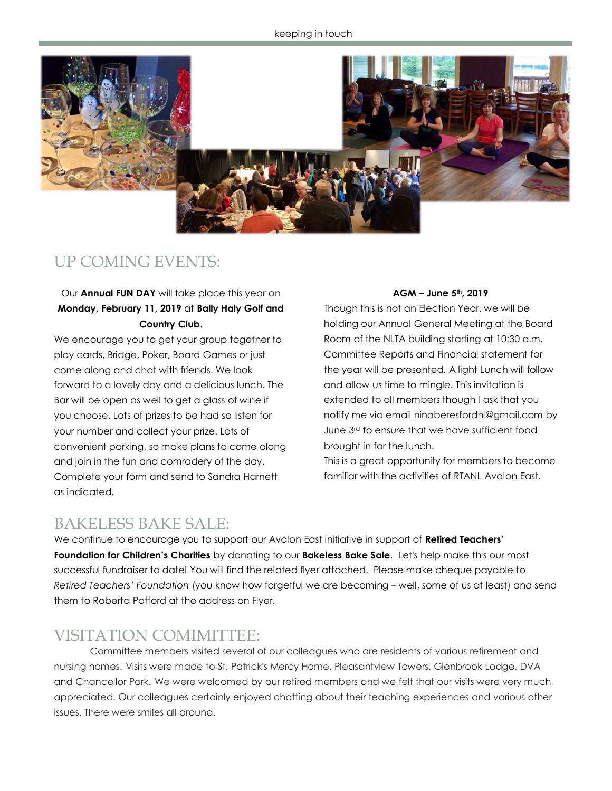

## UP COMING EVENTS:

### Our **Annual FUN DAY** will take place this year on **Monday, February 11, 2019** at **Bally Haly Golf and Country Club**.

We encourage you to get your group together to play cards, Bridge, Poker, Board Games or just come along and chat with friends. We look forward to a lovely day and a delicious lunch. The Bar will be open as well to get a glass of wine if you choose. Lots of prizes to be had so listen for your number and collect your prize. Lots of convenient parking, so make plans to come along and join in the fun and comradery of the day. Complete your form and send to Sandra Harnett as indicated.

#### **AGM – June 5th, 2019**

Though this is not an Election Year, we will be holding our Annual General Meeting at the Board Room of the NLTA building starting at 10:30 a.m. Committee Reports and Financial statement for the year will be presented. A light Lunch will follow and allow us time to mingle. This invitation is extended to all members though I ask that you notify me via email [ninaberesfordnl@gmail.com](mailto:ninaberesfordnl@gmail.com) by June 3rd to ensure that we have sufficient food brought in for the lunch.

This is a great opportunity for members to become familiar with the activities of RTANL Avalon East.

### BAKELESS BAKE SALE:

We continue to encourage you to support our Avalon East initiative in support of **Retired Teachers' Foundation for Children's Charities** by donating to our **Bakeless Bake Sale**. Let's help make this our most successful fundraiser to date! You will find the related flyer attached. Please make cheque payable to *Retired Teachers' Foundation* (you know how forgetful we are becoming – well, some of us at least) and send them to Roberta Pafford at the address on Flyer.

## VISITATION COMIMITTEE:

Committee members visited several of our colleagues who are residents of various retirement and nursing homes. Visits were made to St. Patrick's Mercy Home, Pleasantview Towers, Glenbrook Lodge, DVA and Chancellor Park. We were welcomed by our retired members and we felt that our visits were very much appreciated. Our colleagues certainly enjoyed chatting about their teaching experiences and various other issues. There were smiles all around.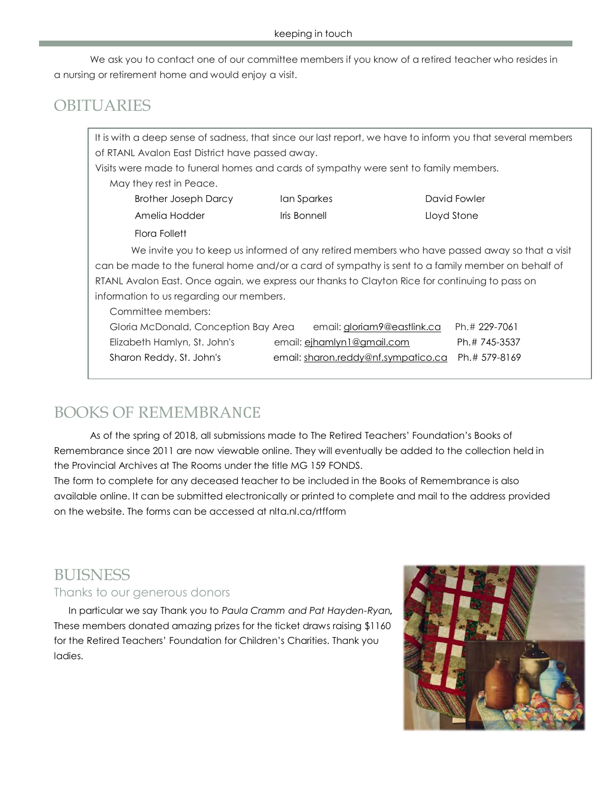We ask you to contact one of our committee members if you know of a retired teacher who resides in a nursing or retirement home and would enjoy a visit.

## **OBITUARIES**

It is with a deep sense of sadness, that since our last report, we have to inform you that several members of RTANL Avalon East District have passed away. Visits were made to funeral homes and cards of sympathy were sent to family members. May they rest in Peace. Brother Joseph Darcy Ian Sparkes David Fowler Amelia Hodder **Iris Bonnell** Lloyd Stone Flora Follett We invite you to keep us informed of any retired members who have passed away so that a visit can be made to the funeral home and/or a card of sympathy is sent to a family member on behalf of RTANL Avalon East. Once again, we express our thanks to Clayton Rice for continuing to pass on information to us regarding our members. Committee members:

| Gloria McDonald, Conception Bay Area | email: gloriam9@eastlink.ca         | Ph.# 229-7061 |
|--------------------------------------|-------------------------------------|---------------|
| Elizabeth Hamlyn, St. John's         | email: <u>eihamlyn1@gmail.com</u>   | Ph.# 745-3537 |
| Sharon Reddy, St. John's             | email: sharon.reddy@nf.sympatico.ca | Ph.# 579-8169 |

# BOOKS OF REMEMBRANCE

As of the spring of 2018, all submissions made to The Retired Teachers' Foundation's Books of Remembrance since 2011 are now viewable online. They will eventually be added to the collection held in the Provincial Archives at The Rooms under the title MG 159 FONDS.

The form to complete for any deceased teacher to be included in the Books of Remembrance is also available online. It can be submitted electronically or printed to complete and mail to the address provided on the website. The forms can be accessed at nlta.nl.ca/rtfform

# **BUISNESS**

### Thanks to our generous donors

In particular we say Thank you to *Paula Cramm and Pat Hayden-Ryan,*  These members donated amazing prizes for the ticket draws raising \$1160 for the Retired Teachers' Foundation for Children's Charities. Thank you ladies.